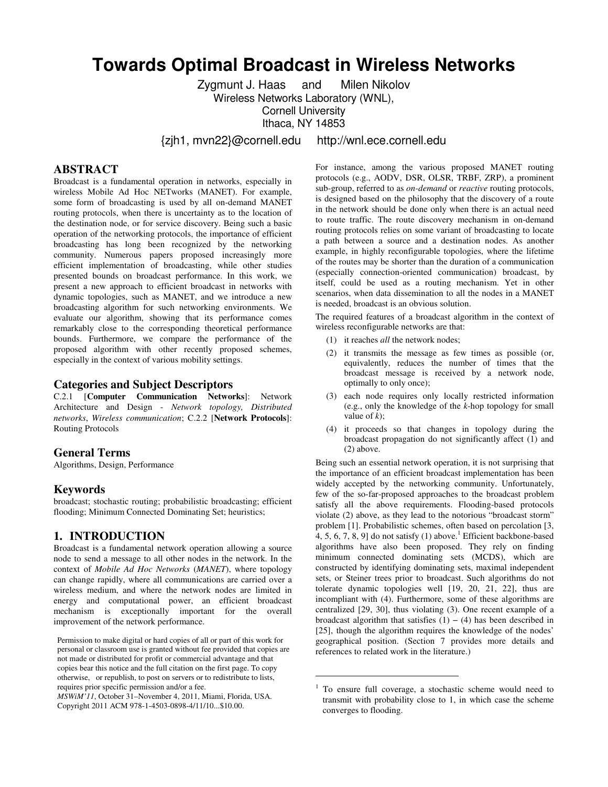# **Towards Optimal Broadcast in Wireless Networks**

Zygmunt J. Haas and Milen Nikolov Wireless Networks Laboratory (WNL), Cornell University Ithaca, NY 14853

{zjh1, mvn22}@cornell.edu http://wnl.ece.cornell.edu

# **ABSTRACT**

Broadcast is a fundamental operation in networks, especially in wireless Mobile Ad Hoc NETworks (MANET). For example, some form of broadcasting is used by all on-demand MANET routing protocols, when there is uncertainty as to the location of the destination node, or for service discovery. Being such a basic operation of the networking protocols, the importance of efficient broadcasting has long been recognized by the networking community. Numerous papers proposed increasingly more efficient implementation of broadcasting, while other studies presented bounds on broadcast performance. In this work, we present a new approach to efficient broadcast in networks with dynamic topologies, such as MANET, and we introduce a new broadcasting algorithm for such networking environments. We evaluate our algorithm, showing that its performance comes remarkably close to the corresponding theoretical performance bounds. Furthermore, we compare the performance of the proposed algorithm with other recently proposed schemes, especially in the context of various mobility settings.

## **Categories and Subject Descriptors**

C.2.1 [**Computer Communication Networks**]: Network Architecture and Design - *Network topology, Distributed networks*, *Wireless communication*; C.2.2 [**Network Protocols**]: Routing Protocols

## **General Terms**

Algorithms, Design, Performance

## **Keywords**

broadcast; stochastic routing; probabilistic broadcasting; efficient flooding; Minimum Connected Dominating Set; heuristics;

## **1. INTRODUCTION**

Broadcast is a fundamental network operation allowing a source node to send a message to all other nodes in the network. In the context of *Mobile Ad Hoc Networks* (*MANET*), where topology can change rapidly, where all communications are carried over a wireless medium, and where the network nodes are limited in energy and computational power, an efficient broadcast mechanism is exceptionally important for the overall improvement of the network performance.

*MSWiM'11*, October 31–November 4, 2011, Miami, Florida, USA. Copyright 2011 ACM 978-1-4503-0898-4/11/10...\$10.00.

For instance, among the various proposed MANET routing protocols (e.g., AODV, DSR, OLSR, TRBF, ZRP), a prominent sub-group, referred to as *on-demand* or *reactive* routing protocols, is designed based on the philosophy that the discovery of a route in the network should be done only when there is an actual need to route traffic. The route discovery mechanism in on-demand routing protocols relies on some variant of broadcasting to locate a path between a source and a destination nodes. As another example, in highly reconfigurable topologies, where the lifetime of the routes may be shorter than the duration of a communication (especially connection-oriented communication) broadcast, by itself, could be used as a routing mechanism. Yet in other scenarios, when data dissemination to all the nodes in a MANET is needed, broadcast is an obvious solution.

The required features of a broadcast algorithm in the context of wireless reconfigurable networks are that:

- (1) it reaches *all* the network nodes;
- (2) it transmits the message as few times as possible (or, equivalently, reduces the number of times that the broadcast message is received by a network node, optimally to only once);
- (3) each node requires only locally restricted information (e.g., only the knowledge of the *k*-hop topology for small value of *k*);
- (4) it proceeds so that changes in topology during the broadcast propagation do not significantly affect (1) and (2) above.

Being such an essential network operation, it is not surprising that the importance of an efficient broadcast implementation has been widely accepted by the networking community. Unfortunately, few of the so-far-proposed approaches to the broadcast problem satisfy all the above requirements. Flooding-based protocols violate (2) above, as they lead to the notorious "broadcast storm" problem [1]. Probabilistic schemes, often based on percolation [3,  $4, 5, 6, 7, 8, 9$ ] do not satisfy (1) above.<sup>1</sup> Efficient backbone-based algorithms have also been proposed. They rely on finding minimum connected dominating sets (MCDS), which are constructed by identifying dominating sets, maximal independent sets, or Steiner trees prior to broadcast. Such algorithms do not tolerate dynamic topologies well [19, 20, 21, 22], thus are incompliant with (4). Furthermore, some of these algorithms are centralized [29, 30], thus violating (3). One recent example of a broadcast algorithm that satisfies  $(1) - (4)$  has been described in [25], though the algorithm requires the knowledge of the nodes' geographical position. (Section 7 provides more details and references to related work in the literature.)

1

Permission to make digital or hard copies of all or part of this work for personal or classroom use is granted without fee provided that copies are not made or distributed for profit or commercial advantage and that copies bear this notice and the full citation on the first page. To copy otherwise, or republish, to post on servers or to redistribute to lists, requires prior specific permission and/or a fee.

<sup>&</sup>lt;sup>1</sup> To ensure full coverage, a stochastic scheme would need to transmit with probability close to 1, in which case the scheme converges to flooding.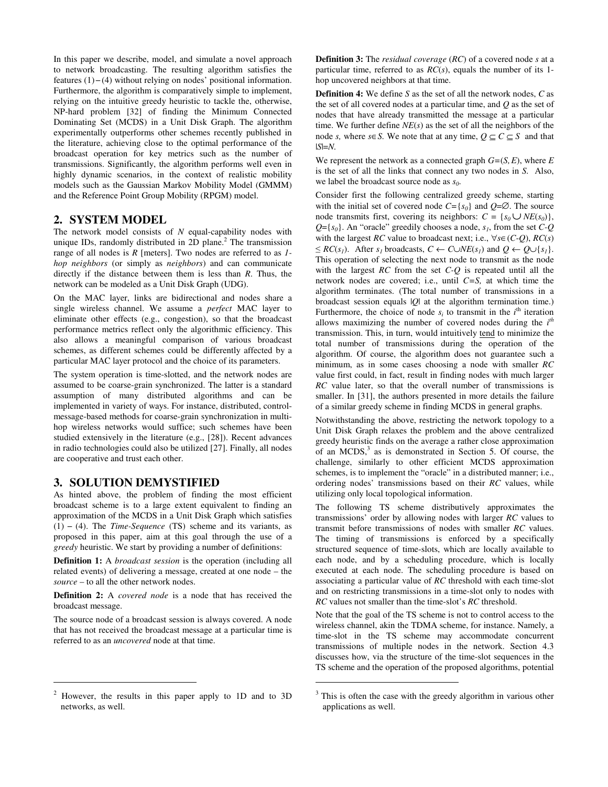In this paper we describe, model, and simulate a novel approach to network broadcasting. The resulting algorithm satisfies the features (1)−(4) without relying on nodes' positional information. Furthermore, the algorithm is comparatively simple to implement, relying on the intuitive greedy heuristic to tackle the, otherwise, NP-hard problem [32] of finding the Minimum Connected Dominating Set (MCDS) in a Unit Disk Graph. The algorithm experimentally outperforms other schemes recently published in the literature, achieving close to the optimal performance of the broadcast operation for key metrics such as the number of transmissions. Significantly, the algorithm performs well even in highly dynamic scenarios, in the context of realistic mobility models such as the Gaussian Markov Mobility Model (GMMM) and the Reference Point Group Mobility (RPGM) model.

# **2. SYSTEM MODEL**

The network model consists of *N* equal-capability nodes with unique IDs, randomly distributed in 2D plane.<sup>2</sup> The transmission range of all nodes is *R* [meters]. Two nodes are referred to as *1 hop neighbors* (or simply as *neighbors*) and can communicate directly if the distance between them is less than *R*. Thus, the network can be modeled as a Unit Disk Graph (UDG).

On the MAC layer, links are bidirectional and nodes share a single wireless channel. We assume a *perfect* MAC layer to eliminate other effects (e.g., congestion), so that the broadcast performance metrics reflect only the algorithmic efficiency. This also allows a meaningful comparison of various broadcast schemes, as different schemes could be differently affected by a particular MAC layer protocol and the choice of its parameters.

The system operation is time-slotted, and the network nodes are assumed to be coarse-grain synchronized. The latter is a standard assumption of many distributed algorithms and can be implemented in variety of ways. For instance, distributed, controlmessage-based methods for coarse-grain synchronization in multihop wireless networks would suffice; such schemes have been studied extensively in the literature (e.g., [28]). Recent advances in radio technologies could also be utilized [27]. Finally, all nodes are cooperative and trust each other.

#### **3. SOLUTION DEMYSTIFIED**

As hinted above, the problem of finding the most efficient broadcast scheme is to a large extent equivalent to finding an approximation of the MCDS in a Unit Disk Graph which satisfies (1) − (4). The *Time-Sequence* (TS) scheme and its variants, as proposed in this paper, aim at this goal through the use of a *greedy* heuristic. We start by providing a number of definitions:

**Definition 1:** A *broadcast session* is the operation (including all related events) of delivering a message, created at one node – the *source* – to all the other network nodes.

**Definition 2:** A *covered node* is a node that has received the broadcast message.

The source node of a broadcast session is always covered. A node that has not received the broadcast message at a particular time is referred to as an *uncovered* node at that time.

1

**Definition 3:** The *residual coverage* (*RC*) of a covered node *s* at a particular time, referred to as *RC*(*s*), equals the number of its 1 hop uncovered neighbors at that time.

**Definition 4:** We define *S* as the set of all the network nodes, *C* as the set of all covered nodes at a particular time, and *Q* as the set of nodes that have already transmitted the message at a particular time. We further define *NE*(*s*) as the set of all the neighbors of the node *s*, where *s*∈*S*. We note that at any time,  $Q ⊆ C ⊆ S$  and that  $|S|=N$ .

We represent the network as a connected graph  $G=(S, E)$ , where  $E$ is the set of all the links that connect any two nodes in *S.* Also, we label the broadcast source node as *s<sup>0</sup>* .

Consider first the following centralized greedy scheme, starting with the initial set of covered node  $C = \{s_0\}$  and  $Q = \emptyset$ . The source node transmits first, covering its neighbors:  $C = \{s_0 \cup NE(s_0)\}\,$ , *Q*={*s0*}. An "oracle" greedily chooses a node, *s<sup>1</sup>* , from the set *C-Q* with the largest *RC* value to broadcast next; i.e.,  $\forall s \in (C-Q)$ , *RC*(*s*)  $\leq$  *RC*(*s*<sub>*1*</sub>). After *s*<sub>*I*</sub> broadcasts, *C* ← *C*∪*NE*(*s*<sub>*I*</sub>) and *Q* ← *Q*∪{*s*<sub>*I*</sub>}. This operation of selecting the next node to transmit as the node with the largest *RC* from the set *C-Q* is repeated until all the network nodes are covered; i.e., until *C=S,* at which time the algorithm terminates. (The total number of transmissions in a broadcast session equals |*Q*| at the algorithm termination time.) Furthermore, the choice of node  $s_i$  to transmit in the  $i^{\text{th}}$  iteration allows maximizing the number of covered nodes during the  $i<sup>th</sup>$ transmission. This, in turn, would intuitively tend to minimize the total number of transmissions during the operation of the algorithm. Of course, the algorithm does not guarantee such a minimum, as in some cases choosing a node with smaller *RC* value first could, in fact, result in finding nodes with much larger *RC* value later, so that the overall number of transmissions is smaller. In [31], the authors presented in more details the failure of a similar greedy scheme in finding MCDS in general graphs.

Notwithstanding the above, restricting the network topology to a Unit Disk Graph relaxes the problem and the above centralized greedy heuristic finds on the average a rather close approximation of an MCDS, $3$  as is demonstrated in Section 5. Of course, the challenge, similarly to other efficient MCDS approximation schemes, is to implement the "oracle" in a distributed manner; i.e., ordering nodes' transmissions based on their *RC* values, while utilizing only local topological information.

The following TS scheme distributively approximates the transmissions' order by allowing nodes with larger *RC* values to transmit before transmissions of nodes with smaller *RC* values. The timing of transmissions is enforced by a specifically structured sequence of time-slots, which are locally available to each node, and by a scheduling procedure, which is locally executed at each node. The scheduling procedure is based on associating a particular value of *RC* threshold with each time-slot and on restricting transmissions in a time-slot only to nodes with *RC* values not smaller than the time-slot's *RC* threshold.

Note that the goal of the TS scheme is not to control access to the wireless channel, akin the TDMA scheme, for instance. Namely, a time-slot in the TS scheme may accommodate concurrent transmissions of multiple nodes in the network. Section 4.3 discusses how, via the structure of the time-slot sequences in the TS scheme and the operation of the proposed algorithms, potential

1

<sup>2</sup> However, the results in this paper apply to 1D and to 3D networks, as well.

<sup>&</sup>lt;sup>3</sup> This is often the case with the greedy algorithm in various other applications as well.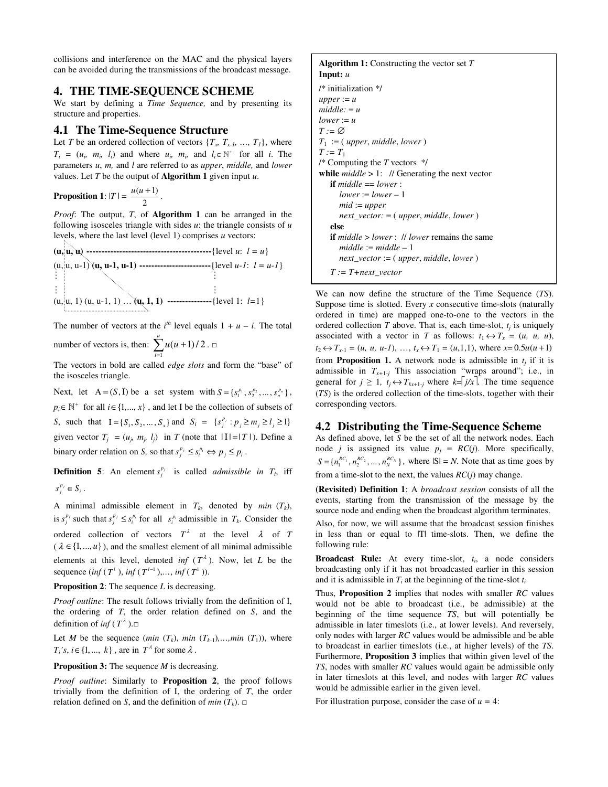collisions and interference on the MAC and the physical layers can be avoided during the transmissions of the broadcast message.

## **4. THE TIME-SEQUENCE SCHEME**

We start by defining a *Time Sequence,* and by presenting its structure and properties.

# **4.1 The Time-Sequence Structure**

Let *T* be an ordered collection of vectors  $\{T_x, T_{x-l}, ..., T_l\}$ , where *T<sub>i</sub>* =  $(u_i, m_i, l_i)$  and where  $u_i, m_i$ , and  $l_i \in \mathbb{N}^+$  for all *i*. The parameters *u*, *m,* and *l* are referred to as *upper*, *middle,* and *lower* values. Let *T* be the output of **Algorithm 1** given input *u*.

**Proposition 1**:  $|T| = \frac{u(u + 1)}{2}$  $\frac{u(u+1)}{2}$ .

*Proof*: The output, *T*, of **Algorithm 1** can be arranged in the following isosceles triangle with sides *u*: the triangle consists of *u* levels, where the last level (level 1) comprises *u* vectors:

**(u, u, u) ------------------------------------------**{level *u*: *l = u*} (u, u, u-1) **(u, u-1, u-1) ------------------------**{level *u-1*: *l = u-1*} - -- -(u, u, 1) (u, u-1, 1) … **(u, 1, 1) ---------------**{level 1: *l=*1}

The number of vectors at the  $i^{th}$  level equals  $1 + u - i$ . The total

number of vectors is, then:  $\sum_{n=1}^{u} u(u+1)/2$ .  $\square$ 1 *i* =

The vectors in bold are called *edge slots* and form the "base" of the isosceles triangle.

Next, let  $A = (S, I)$  be a set system with  $S = \{s_1^{p_1}, s_2^{p_2}, ..., s_n^{p_n}\}\,$  $p_i$  ∈  $\mathbb{N}^+$  for all  $i \in \{1, ..., x\}$ , and let I be the collection of subsets of *S*, such that  $I = \{S_1, S_2, ..., S_x\}$  and  $S_i = \{s_j^{p_j} : p_j \ge m_j \ge l_j \ge 1\}$ given vector  $T_j = (u_j, m_j, l_j)$  in *T* (note that  $|I| = |T|$ ). Define a binary order relation on *S*, so that  $s_j^{p_j} \leq s_i^{p_i} \Leftrightarrow p_j \leq p_i$ .

**Definition 5**: An element  $s_j^{p_j}$  is called *admissible in*  $T_i$ , iff  $s_j^{p_j} \in S_i$ .

A minimal admissible element in  $T_k$ , denoted by *min*  $(T_k)$ , is  $s_j^{p_j}$  such that  $s_j^{p_j} \leq s_i^{p_i}$  for all  $s_i^{p_i}$  admissible in  $T_k$ . Consider the ordered collection of vectors  $T^{\lambda}$  at the level  $\lambda$  of *T*  $(\lambda \in \{1, ..., u\})$ , and the smallest element of all minimal admissible elements at this level, denoted *inf*  $(T^{\lambda})$ . Now, let *L* be the sequence  $(inf(T^l), inf(T^{l-1}), ..., inf(T^l)).$ 

**Proposition 2**: The sequence *L* is decreasing.

*Proof outline*: The result follows trivially from the definition of I, the ordering of *T*, the order relation defined on *S*, and the definition of  $inf(T^{\lambda})$ . $\Box$ 

Let *M* be the sequence  $(min (T_k), min (T_{k-1}),...,min (T_1)),$  where  $T_i$ 's, *i* ∈ {1, ..., *k*}, are in  $T^{\lambda}$  for some  $\lambda$ .

#### **Proposition 3:** The sequence *M* is decreasing.

*Proof outline*: Similarly to **Proposition 2**, the proof follows trivially from the definition of I, the ordering of *T*, the order relation defined on *S*, and the definition of *min*  $(T_k)$ .  $\Box$ 



We can now define the structure of the Time Sequence (*TS*). Suppose time is slotted. Every *x* consecutive time-slots (naturally ordered in time) are mapped one-to-one to the vectors in the ordered collection  $T$  above. That is, each time-slot,  $t_j$  is uniquely associated with a vector in *T* as follows:  $t_1 \leftrightarrow T_x = (u, u, u)$ ,  $t_2 \leftrightarrow T_{x-1} = (u, u, u, l), \dots, t_x \leftrightarrow T_1 = (u, 1, 1),$  where  $x = 0.5u(u + 1)$ from **Proposition 1.** A network node is admissible in  $t_j$  if it is admissible in *Tx+*1*-j* This association "wraps around"; i.e., in general for  $j \geq 1$ ,  $t_j \leftrightarrow T_{kx+1-j}$  where  $k = j/x$ . The time sequence (*TS*) is the ordered collection of the time-slots, together with their corresponding vectors.

#### **4.2 Distributing the Time-Sequence Scheme**

As defined above, let *S* be the set of all the network nodes. Each node *j* is assigned its value  $p_j = RC(j)$ . More specifically,  $S = \{n_1^{RC_1}, n_2^{RC_2}, \dots, n_N^{RC_N}\}\,$ , where  $|S| = N$ . Note that as time goes by from a time-slot to the next, the values  $RC(i)$  may change.

**(Revisited) Definition 1**: A *broadcast session* consists of all the events, starting from the transmission of the message by the source node and ending when the broadcast algorithm terminates.

Also, for now, we will assume that the broadcast session finishes in less than or equal to  $|T|$  time-slots. Then, we define the following rule:

**Broadcast Rule:** At every time-slot, *t<sup>i</sup>* , a node considers broadcasting only if it has not broadcasted earlier in this session and it is admissible in  $T_i$  at the beginning of the time-slot  $t_i$ 

Thus, **Proposition 2** implies that nodes with smaller *RC* values would not be able to broadcast (i.e., be admissible) at the beginning of the time sequence *TS*, but will potentially be admissible in later timeslots (i.e., at lower levels). And reversely, only nodes with larger *RC* values would be admissible and be able to broadcast in earlier timeslots (i.e., at higher levels) of the *TS*. Furthermore, **Proposition 3** implies that within given level of the *TS*, nodes with smaller *RC* values would again be admissible only in later timeslots at this level, and nodes with larger *RC* values would be admissible earlier in the given level.

For illustration purpose, consider the case of  $u = 4$ :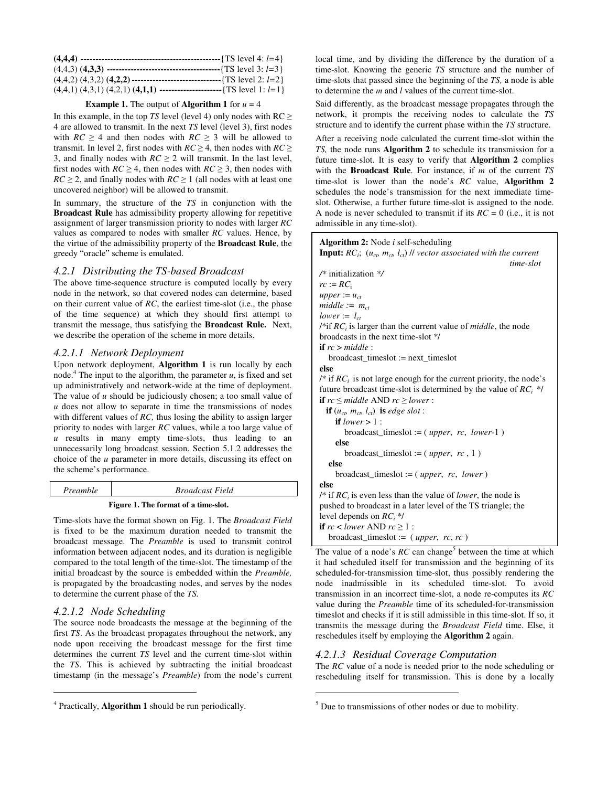| $(4,4,2)$ $(4,3,2)$ $(4,2,2)$ ------------------------------[TS level 2: <i>l</i> =2} |  |
|---------------------------------------------------------------------------------------|--|
|                                                                                       |  |

#### **Example 1.** The output of **Algorithm 1** for  $u = 4$

In this example, in the top *TS* level (level 4) only nodes with  $RC \geq$ 4 are allowed to transmit. In the next *TS* level (level 3), first nodes with  $RC \geq 4$  and then nodes with  $RC \geq 3$  will be allowed to transmit. In level 2, first nodes with  $RC \geq 4$ , then nodes with  $RC \geq 4$ 3, and finally nodes with  $RC \ge 2$  will transmit. In the last level, first nodes with  $RC \geq 4$ , then nodes with  $RC \geq 3$ , then nodes with  $RC \ge 2$ , and finally nodes with  $RC \ge 1$  (all nodes with at least one uncovered neighbor) will be allowed to transmit.

In summary, the structure of the *TS* in conjunction with the **Broadcast Rule** has admissibility property allowing for repetitive assignment of larger transmission priority to nodes with larger *RC* values as compared to nodes with smaller *RC* values. Hence, by the virtue of the admissibility property of the **Broadcast Rule**, the greedy "oracle" scheme is emulated.

## *4.2.1 Distributing the TS-based Broadcast*

The above time-sequence structure is computed locally by every node in the network, so that covered nodes can determine, based on their current value of *RC*, the earliest time-slot (i.e., the phase of the time sequence) at which they should first attempt to transmit the message, thus satisfying the **Broadcast Rule.** Next, we describe the operation of the scheme in more details.

## *4.2.1.1 Network Deployment*

Upon network deployment, **Algorithm 1** is run locally by each node.<sup>4</sup> The input to the algorithm, the parameter  $u$ , is fixed and set up administratively and network-wide at the time of deployment. The value of *u* should be judiciously chosen; a too small value of *u* does not allow to separate in time the transmissions of nodes with different values of *RC,* thus losing the ability to assign larger priority to nodes with larger *RC* values, while a too large value of *u* results in many empty time-slots, thus leading to an unnecessarily long broadcast session. Section 5.1.2 addresses the choice of the *u* parameter in more details, discussing its effect on the scheme's performance.

| Preamble | <b>Broadcast Field</b> |
|----------|------------------------|

#### **Figure 1. The format of a time-slot.**

Time-slots have the format shown on Fig. 1. The *Broadcast Field*  is fixed to be the maximum duration needed to transmit the broadcast message. The *Preamble* is used to transmit control information between adjacent nodes, and its duration is negligible compared to the total length of the time-slot. The timestamp of the initial broadcast by the source is embedded within the *Preamble,* is propagated by the broadcasting nodes, and serves by the nodes to determine the current phase of the *TS.*

#### *4.2.1.2 Node Scheduling*

-

The source node broadcasts the message at the beginning of the first *TS*. As the broadcast propagates throughout the network, any node upon receiving the broadcast message for the first time determines the current *TS* level and the current time-slot within the *TS*. This is achieved by subtracting the initial broadcast timestamp (in the message's *Preamble*) from the node's current local time, and by dividing the difference by the duration of a time-slot. Knowing the generic *TS* structure and the number of time-slots that passed since the beginning of the *TS,* a node is able to determine the *m* and *l* values of the current time-slot.

Said differently, as the broadcast message propagates through the network, it prompts the receiving nodes to calculate the *TS* structure and to identify the current phase within the *TS* structure.

After a receiving node calculated the current time-slot within the *TS,* the node runs **Algorithm 2** to schedule its transmission for a future time-slot. It is easy to verify that **Algorithm 2** complies with the **Broadcast Rule**. For instance, if *m* of the current *TS* time-slot is lower than the node's *RC* value, **Algorithm 2** schedules the node's transmission for the next immediate timeslot. Otherwise, a further future time-slot is assigned to the node. A node is never scheduled to transmit if its  $RC = 0$  (i.e., it is not admissible in any time-slot).

**Algorithm 2:** Node *i* self-scheduling



The value of a node's  $RC$  can change<sup>5</sup> between the time at which it had scheduled itself for transmission and the beginning of its scheduled-for-transmission time-slot, thus possibly rendering the node inadmissible in its scheduled time-slot. To avoid transmission in an incorrect time-slot, a node re-computes its *RC* value during the *Preamble* time of its scheduled-for-transmission timeslot and checks if it is still admissible in this time-slot. If so, it transmits the message during the *Broadcast Field* time. Else, it reschedules itself by employing the **Algorithm 2** again.

## *4.2.1.3 Residual Coverage Computation*

1

The *RC* value of a node is needed prior to the node scheduling or rescheduling itself for transmission. This is done by a locally

<sup>4</sup> Practically, **Algorithm 1** should be run periodically.

<sup>&</sup>lt;sup>5</sup> Due to transmissions of other nodes or due to mobility.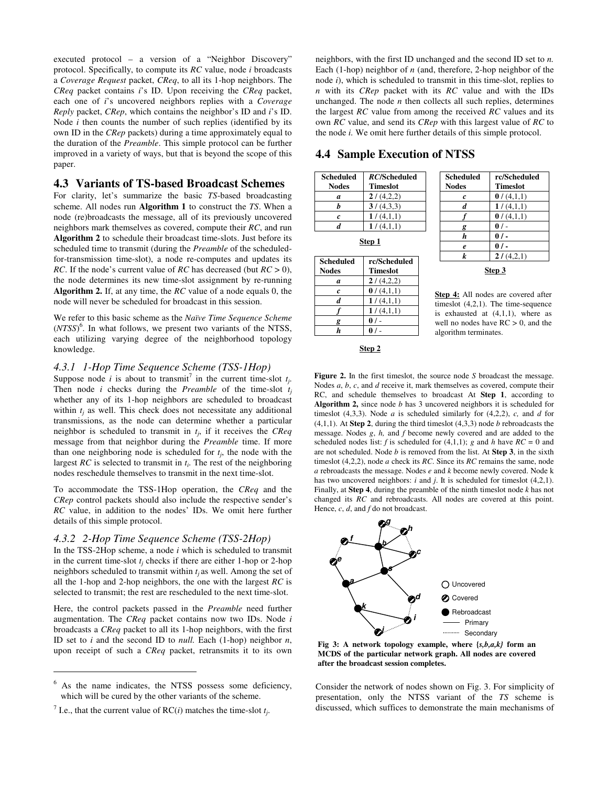executed protocol – a version of a "Neighbor Discovery" protocol. Specifically, to compute its *RC* value, node *i* broadcasts a *Coverage Request* packet, *CReq*, to all its 1-hop neighbors. The *CReq* packet contains *i*'s ID. Upon receiving the *CReq* packet, each one of *i*'s uncovered neighbors replies with a *Coverage Reply* packet, *CRep*, which contains the neighbor's ID and *i*'s ID. Node *i* then counts the number of such replies (identified by its own ID in the *CRep* packets) during a time approximately equal to the duration of the *Preamble*. This simple protocol can be further improved in a variety of ways, but that is beyond the scope of this paper.

#### **4.3 Variants of TS-based Broadcast Schemes**

For clarity, let's summarize the basic *TS*-based broadcasting scheme. All nodes run **Algorithm 1** to construct the *TS*. When a node (re)broadcasts the message, all of its previously uncovered neighbors mark themselves as covered, compute their *RC*, and run **Algorithm 2** to schedule their broadcast time-slots. Just before its scheduled time to transmit (during the *Preamble* of the scheduledfor-transmission time-slot), a node re-computes and updates its *RC*. If the node's current value of *RC* has decreased (but *RC* > 0), the node determines its new time-slot assignment by re-running **Algorithm 2.** If, at any time, the *RC* value of a node equals 0, the node will never be scheduled for broadcast in this session.

We refer to this basic scheme as the *Naïve Time Sequence Scheme*  (*NTSS*) 6 . In what follows, we present two variants of the NTSS, each utilizing varying degree of the neighborhood topology knowledge.

#### *4.3.1 1-Hop Time Sequence Scheme (TSS-1Hop)*

Suppose node *i* is about to transmit<sup>7</sup> in the current time-slot  $t_j$ . Then node *i* checks during the *Preamble* of the time-slot  $t_i$ whether any of its 1-hop neighbors are scheduled to broadcast within  $t_j$  as well. This check does not necessitate any additional transmissions, as the node can determine whether a particular neighbor is scheduled to transmit in *t<sup>j</sup>* , if it receives the *CReq* message from that neighbor during the *Preamble* time. If more than one neighboring node is scheduled for  $t_j$ , the node with the largest *RC* is selected to transmit in *t<sup>i</sup>* . The rest of the neighboring nodes reschedule themselves to transmit in the next time-slot.

To accommodate the TSS-1Hop operation, the *CReq* and the *CRep* control packets should also include the respective sender's *RC* value, in addition to the nodes' IDs. We omit here further details of this simple protocol.

#### *4.3.2 2-Hop Time Sequence Scheme (TSS-2Hop)*

In the TSS-2Hop scheme, a node *i* which is scheduled to transmit in the current time-slot  $t_j$  checks if there are either 1-hop or 2-hop neighbors scheduled to transmit within *tj* as well. Among the set of all the 1-hop and 2-hop neighbors, the one with the largest *RC* is selected to transmit; the rest are rescheduled to the next time-slot.

Here, the control packets passed in the *Preamble* need further augmentation. The *CReq* packet contains now two IDs. Node *i* broadcasts a *CReq* packet to all its 1-hop neighbors, with the first ID set to *i* and the second ID to *null.* Each (1-hop) neighbor *n*, upon receipt of such a *CReq* packet, retransmits it to its own

 $\overline{a}$ 

neighbors, with the first ID unchanged and the second ID set to *n.*  Each (1-hop) neighbor of *n* (and, therefore, 2-hop neighbor of the node *i*), which is scheduled to transmit in this time-slot, replies to *n* with its *CRep* packet with its *RC* value and with the IDs unchanged. The node *n* then collects all such replies, determines the largest *RC* value from among the received *RC* values and its own *RC* value, and send its *CRep* with this largest value of *RC* to the node *i.* We omit here further details of this simple protocol.

## **4.4 Sample Execution of NTSS**

| Scheduled    | <i>RC/Scheduled</i> |
|--------------|---------------------|
| <b>Nodes</b> | <b>Timeslot</b>     |
| a            | 2/(4,2,2)           |
|              | 3/(4,3,3)           |
| c            | 1/(4,1,1)           |
|              | 1/(4,1,1)           |
|              |                     |

| <b>Scheduled</b> | rc/Scheduled    |
|------------------|-----------------|
| <b>Nodes</b>     | <b>Timeslot</b> |
| a                | 2/(4,2,2)       |
| c                | 0/ (4,1,1)      |
| d                | 1/(4,1,1)       |
|                  | 1/(4,1,1)       |
| g                | $0/-$           |
| h                |                 |

| Scheduled | rc/Scheduled    |
|-----------|-----------------|
| Nodes     | <b>Timeslot</b> |
| c         | 0/ (4,1,1)      |
| d         | 1/(4,1,1)       |
|           | 0/ (4,1,1)      |
| g         | 0/              |
| h         | $0/$ .          |
| e         | 0/              |
| k         | $2/$ (4,2,1)    |

**Step 3**

**Step 4:** All nodes are covered after timeslot (4,2,1). The time-sequence is exhausted at  $(4,1,1)$ , where as well no nodes have  $RC > 0$ , and the algorithm terminates.

**Step 2**

**Figure 2.** In the first timeslot, the source node *S* broadcast the message. Nodes *a*, *b*, *c*, and *d* receive it, mark themselves as covered, compute their RC, and schedule themselves to broadcast At **Step 1**, according to **Algorithm 2,** since node *b* has 3 uncovered neighbors it is scheduled for timeslot  $(4,3,3)$ . Node *a* is scheduled similarly for  $(4,2,2)$ , *c*, and *d* for (4,1,1). At **Step 2**, during the third timeslot (4,3,3) node *b* rebroadcasts the message. Nodes *g*, *h,* and *f* become newly covered and are added to the scheduled nodes list: *f* is scheduled for  $(4,1,1)$ ; *g* and *h* have  $RC = 0$  and are not scheduled. Node *b* is removed from the list. At **Step 3**, in the sixth timeslot (4,2,2), node *a* check its *RC*. Since its *RC* remains the same, node *a* rebroadcasts the message. Nodes *e* and *k* become newly covered. Node k has two uncovered neighbors: *i* and *j*. It is scheduled for timeslot (4,2,1). Finally, at **Step 4**, during the preamble of the ninth timeslot node *k* has not changed its *RC* and rebroadcasts. All nodes are covered at this point. Hence, *c*, *d*, and *f* do not broadcast.



**Fig 3: A network topology example, where {***s,b,a,k}* **form an MCDS of the particular network graph. All nodes are covered after the broadcast session completes.** 

Consider the network of nodes shown on Fig. 3. For simplicity of presentation, only the NTSS variant of the *TS* scheme is discussed, which suffices to demonstrate the main mechanisms of

<sup>6</sup> As the name indicates, the NTSS possess some deficiency, which will be cured by the other variants of the scheme.

<sup>&</sup>lt;sup>7</sup> I.e., that the current value of  $RC(i)$  matches the time-slot  $t_j$ .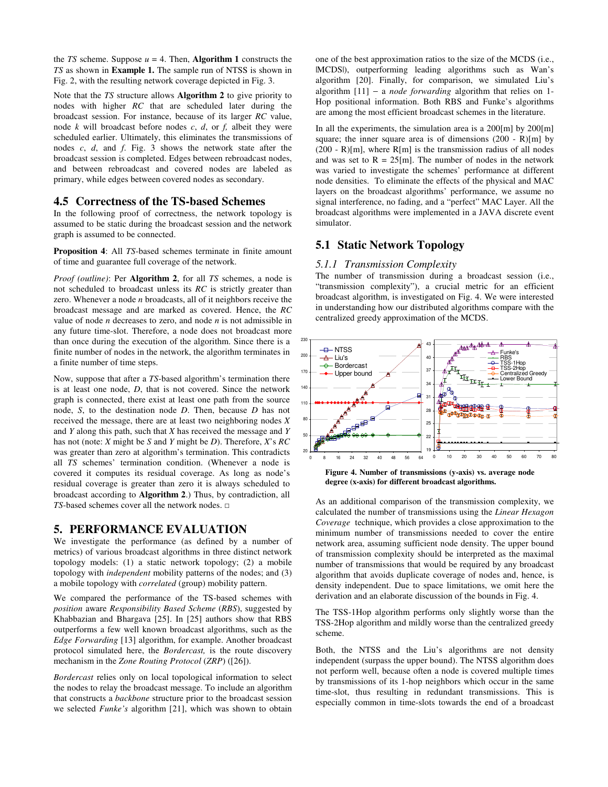the *TS* scheme. Suppose  $u = 4$ . Then, **Algorithm 1** constructs the *TS* as shown in **Example 1.** The sample run of NTSS is shown in Fig. 2, with the resulting network coverage depicted in Fig. 3.

Note that the *TS* structure allows **Algorithm 2** to give priority to nodes with higher *RC* that are scheduled later during the broadcast session. For instance, because of its larger *RC* value, node  $k$  will broadcast before nodes  $c$ ,  $d$ , or  $f$ , albeit they were scheduled earlier. Ultimately, this eliminates the transmissions of nodes *c*, *d*, and *f*. Fig. 3 shows the network state after the broadcast session is completed. Edges between rebroadcast nodes, and between rebroadcast and covered nodes are labeled as primary, while edges between covered nodes as secondary.

## **4.5 Correctness of the TS-based Schemes**

In the following proof of correctness, the network topology is assumed to be static during the broadcast session and the network graph is assumed to be connected.

**Proposition 4**: All *TS*-based schemes terminate in finite amount of time and guarantee full coverage of the network.

*Proof (outline)*: Per **Algorithm 2**, for all *TS* schemes, a node is not scheduled to broadcast unless its *RC* is strictly greater than zero. Whenever a node *n* broadcasts, all of it neighbors receive the broadcast message and are marked as covered. Hence, the *RC*  value of node *n* decreases to zero, and node *n* is not admissible in any future time-slot. Therefore, a node does not broadcast more than once during the execution of the algorithm. Since there is a finite number of nodes in the network, the algorithm terminates in a finite number of time steps.

Now, suppose that after a *TS*-based algorithm's termination there is at least one node, *D*, that is not covered. Since the network graph is connected, there exist at least one path from the source node, *S*, to the destination node *D*. Then, because *D* has not received the message, there are at least two neighboring nodes *X* and *Y* along this path, such that *X* has received the message and *Y* has not (note: *X* might be *S* and *Y* might be *D*). Therefore, *X*'s *RC* was greater than zero at algorithm's termination. This contradicts all *TS* schemes' termination condition. (Whenever a node is covered it computes its residual coverage. As long as node's residual coverage is greater than zero it is always scheduled to broadcast according to **Algorithm 2**.) Thus, by contradiction, all *TS*-based schemes cover all the network nodes. □

## **5. PERFORMANCE EVALUATION**

We investigate the performance (as defined by a number of metrics) of various broadcast algorithms in three distinct network topology models: (1) a static network topology; (2) a mobile topology with *independent* mobility patterns of the nodes; and (3) a mobile topology with *correlated* (group) mobility pattern.

We compared the performance of the TS-based schemes with *position* aware *Responsibility Based Scheme* (*RBS*), suggested by Khabbazian and Bhargava [25]. In [25] authors show that RBS outperforms a few well known broadcast algorithms, such as the *Edge Forwarding* [13] algorithm, for example. Another broadcast protocol simulated here, the *Bordercast,* is the route discovery mechanism in the *Zone Routing Protocol* (*ZRP*) ([26]).

*Bordercast* relies only on local topological information to select the nodes to relay the broadcast message. To include an algorithm that constructs a *backbone* structure prior to the broadcast session we selected *Funke's* algorithm [21], which was shown to obtain

one of the best approximation ratios to the size of the MCDS (i.e., |MCDS|), outperforming leading algorithms such as Wan's algorithm [20]. Finally, for comparison, we simulated Liu's algorithm [11] − a *node forwarding* algorithm that relies on 1- Hop positional information. Both RBS and Funke's algorithms are among the most efficient broadcast schemes in the literature.

In all the experiments, the simulation area is a  $200$ [m] by  $200$ [m] square; the inner square area is of dimensions  $(200 - R)[m]$  by  $(200 - R)[m]$ , where R[m] is the transmission radius of all nodes and was set to  $R = 25$ [m]. The number of nodes in the network was varied to investigate the schemes' performance at different node densities. To eliminate the effects of the physical and MAC layers on the broadcast algorithms' performance, we assume no signal interference, no fading, and a "perfect" MAC Layer. All the broadcast algorithms were implemented in a JAVA discrete event simulator.

# **5.1 Static Network Topology**

#### *5.1.1 Transmission Complexity*

The number of transmission during a broadcast session (i.e., "transmission complexity"), a crucial metric for an efficient broadcast algorithm, is investigated on Fig. 4. We were interested in understanding how our distributed algorithms compare with the centralized greedy approximation of the MCDS.



**Figure 4. Number of transmissions (y-axis) vs. average node degree (x-axis) for different broadcast algorithms.**

As an additional comparison of the transmission complexity, we calculated the number of transmissions using the *Linear Hexagon Coverage* technique, which provides a close approximation to the minimum number of transmissions needed to cover the entire network area, assuming sufficient node density. The upper bound of transmission complexity should be interpreted as the maximal number of transmissions that would be required by any broadcast algorithm that avoids duplicate coverage of nodes and, hence, is density independent. Due to space limitations, we omit here the derivation and an elaborate discussion of the bounds in Fig. 4.

The TSS-1Hop algorithm performs only slightly worse than the TSS-2Hop algorithm and mildly worse than the centralized greedy scheme.

Both, the NTSS and the Liu's algorithms are not density independent (surpass the upper bound). The NTSS algorithm does not perform well, because often a node is covered multiple times by transmissions of its 1-hop neighbors which occur in the same time-slot, thus resulting in redundant transmissions. This is especially common in time-slots towards the end of a broadcast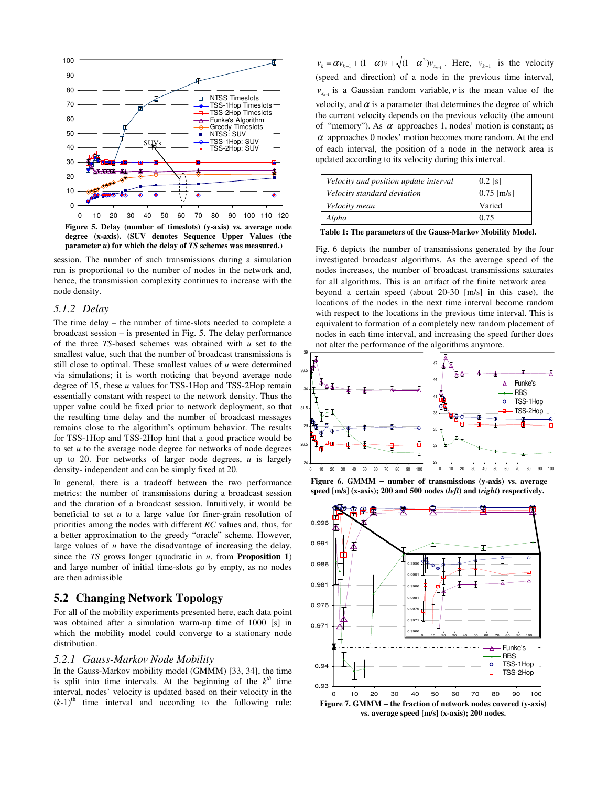

**degree (x-axis). (SUV denotes Sequence Upper Values (the parameter** *u***) for which the delay of** *TS* **schemes was measured.)**

session. The number of such transmissions during a simulation run is proportional to the number of nodes in the network and, hence, the transmission complexity continues to increase with the node density.

#### *5.1.2 Delay*

The time delay – the number of time-slots needed to complete a broadcast session – is presented in Fig. 5. The delay performance of the three *TS*-based schemes was obtained with *u* set to the smallest value, such that the number of broadcast transmissions is still close to optimal. These smallest values of *u* were determined via simulations; it is worth noticing that beyond average node degree of 15, these *u* values for TSS-1Hop and TSS-2Hop remain essentially constant with respect to the network density. Thus the upper value could be fixed prior to network deployment, so that the resulting time delay and the number of broadcast messages remains close to the algorithm's optimum behavior. The results for TSS-1Hop and TSS-2Hop hint that a good practice would be to set *u* to the average node degree for networks of node degrees up to 20. For networks of larger node degrees, *u* is largely density- independent and can be simply fixed at 20.

In general, there is a tradeoff between the two performance metrics: the number of transmissions during a broadcast session and the duration of a broadcast session. Intuitively, it would be beneficial to set *u* to a large value for finer-grain resolution of priorities among the nodes with different *RC* values and, thus, for a better approximation to the greedy "oracle" scheme. However, large values of *u* have the disadvantage of increasing the delay, since the *TS* grows longer (quadratic in *u*, from **Proposition 1**) and large number of initial time-slots go by empty, as no nodes are then admissible

# **5.2 Changing Network Topology**

For all of the mobility experiments presented here, each data point was obtained after a simulation warm-up time of 1000 [s] in which the mobility model could converge to a stationary node distribution.

#### *5.2.1 Gauss-Markov Node Mobility*

In the Gauss-Markov mobility model (GMMM) [33, 34], the time is split into time intervals. At the beginning of the  $k^{th}$  time interval, nodes' velocity is updated based on their velocity in the  $(k-1)$ <sup>th</sup> time interval and according to the following rule:

 $v_k = \alpha v_{k-1} + (1 - \alpha)v + \sqrt{(1 - \alpha^2)v_{x_{n-1}}}$ . Here,  $v_{k-1}$  is the velocity (speed and direction) of a node in the previous time interval,  $v_{x_{n-1}}$  is a Gaussian random variable, *v* is the mean value of the velocity, and  $\alpha$  is a parameter that determines the degree of which the current velocity depends on the previous velocity (the amount of "memory"). As  $\alpha$  approaches 1, nodes' motion is constant; as  $\alpha$  approaches 0 nodes' motion becomes more random. At the end of each interval, the position of a node in the network area is updated according to its velocity during this interval.

| Velocity and position update interval | $0.2$ [s]    |
|---------------------------------------|--------------|
| Velocity standard deviation           | $0.75$ [m/s] |
| Velocity mean                         | Varied       |
| Alpha                                 | 0.75         |

**Table 1: The parameters of the Gauss-Markov Mobility Model.**

Fig. 6 depicts the number of transmissions generated by the four investigated broadcast algorithms. As the average speed of the nodes increases, the number of broadcast transmissions saturates for all algorithms. This is an artifact of the finite network area − beyond a certain speed (about 20-30 [m/s] in this case), the locations of the nodes in the next time interval become random with respect to the locations in the previous time interval. This is equivalent to formation of a completely new random placement of nodes in each time interval, and increasing the speed further does not alter the performance of the algorithms anymore.





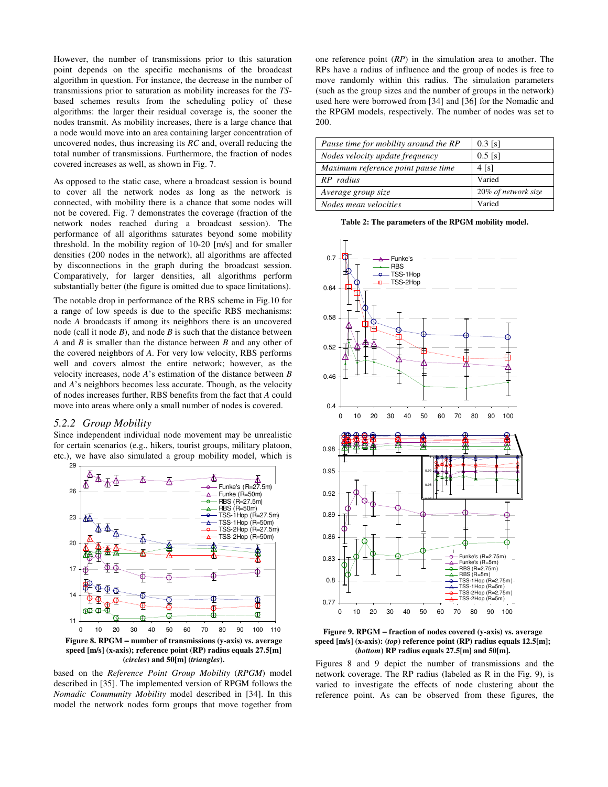However, the number of transmissions prior to this saturation point depends on the specific mechanisms of the broadcast algorithm in question. For instance, the decrease in the number of transmissions prior to saturation as mobility increases for the *TS*based schemes results from the scheduling policy of these algorithms: the larger their residual coverage is, the sooner the nodes transmit. As mobility increases, there is a large chance that a node would move into an area containing larger concentration of uncovered nodes, thus increasing its *RC* and, overall reducing the total number of transmissions. Furthermore, the fraction of nodes covered increases as well, as shown in Fig. 7.

As opposed to the static case, where a broadcast session is bound to cover all the network nodes as long as the network is connected, with mobility there is a chance that some nodes will not be covered. Fig. 7 demonstrates the coverage (fraction of the network nodes reached during a broadcast session). The performance of all algorithms saturates beyond some mobility threshold. In the mobility region of 10-20 [m/s] and for smaller densities (200 nodes in the network), all algorithms are affected by disconnections in the graph during the broadcast session. Comparatively, for larger densities, all algorithms perform substantially better (the figure is omitted due to space limitations).

The notable drop in performance of the RBS scheme in Fig.10 for a range of low speeds is due to the specific RBS mechanisms: node *A* broadcasts if among its neighbors there is an uncovered node (call it node *B*), and node *B* is such that the distance between *A* and *B* is smaller than the distance between *B* and any other of the covered neighbors of *A*. For very low velocity, RBS performs well and covers almost the entire network; however, as the velocity increases, node *A*'s estimation of the distance between *B* and *A*'s neighbors becomes less accurate. Though, as the velocity of nodes increases further, RBS benefits from the fact that *A* could move into areas where only a small number of nodes is covered.

#### *5.2.2 Group Mobility*

Since independent individual node movement may be unrealistic for certain scenarios (e.g., hikers, tourist groups, military platoon, etc.), we have also simulated a group mobility model, which is



based on the *Reference Point Group Mobility* (*RPGM*) model described in [35]. The implemented version of RPGM follows the *Nomadic Community Mobility* model described in [34]. In this

model the network nodes form groups that move together from

one reference point (*RP*) in the simulation area to another. The RPs have a radius of influence and the group of nodes is free to move randomly within this radius. The simulation parameters (such as the group sizes and the number of groups in the network) used here were borrowed from [34] and [36] for the Nomadic and the RPGM models, respectively. The number of nodes was set to 200.

| Pause time for mobility around the RP | $0.3$ [s]           |
|---------------------------------------|---------------------|
| Nodes velocity update frequency       | $0.5$ [s]           |
| Maximum reference point pause time    | $4$ [s]             |
| RP radius                             | Varied              |
| Average group size                    | 20% of network size |
| Nodes mean velocities                 | Varied              |

**Table 2: The parameters of the RPGM mobility model.**



**Figure 9. RPGM** − **fraction of nodes covered (y-axis) vs. average speed [m/s] (x-axis): (***top***) reference point (RP) radius equals 12.5[m]; (***bottom***) RP radius equals 27.5[m] and 50[m].**

Figures 8 and 9 depict the number of transmissions and the network coverage. The RP radius (labeled as R in the Fig. 9), is varied to investigate the effects of node clustering about the reference point. As can be observed from these figures, the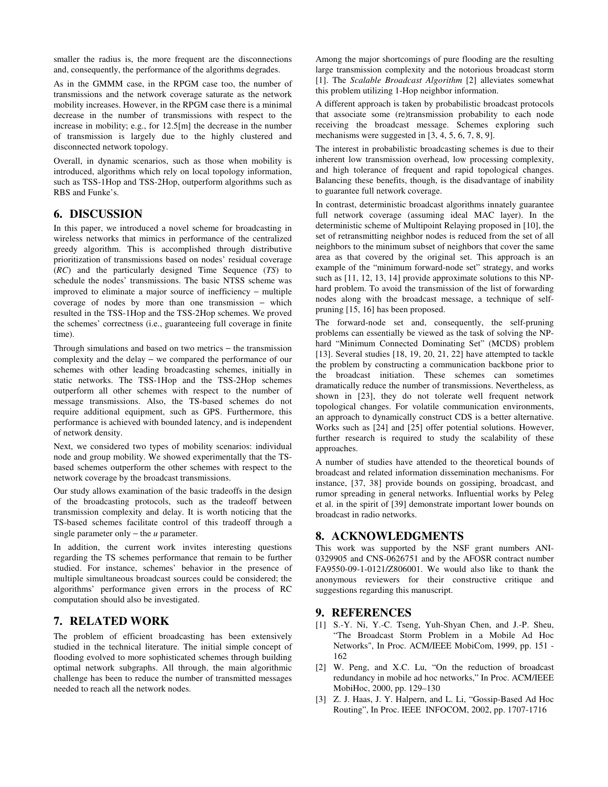smaller the radius is, the more frequent are the disconnections and, consequently, the performance of the algorithms degrades.

As in the GMMM case, in the RPGM case too, the number of transmissions and the network coverage saturate as the network mobility increases. However, in the RPGM case there is a minimal decrease in the number of transmissions with respect to the increase in mobility; e.g., for 12.5[m] the decrease in the number of transmission is largely due to the highly clustered and disconnected network topology.

Overall, in dynamic scenarios, such as those when mobility is introduced, algorithms which rely on local topology information, such as TSS-1Hop and TSS-2Hop, outperform algorithms such as RBS and Funke's.

# **6. DISCUSSION**

In this paper, we introduced a novel scheme for broadcasting in wireless networks that mimics in performance of the centralized greedy algorithm. This is accomplished through distributive prioritization of transmissions based on nodes' residual coverage (*RC*) and the particularly designed Time Sequence (*TS*) to schedule the nodes' transmissions. The basic NTSS scheme was improved to eliminate a major source of inefficiency − multiple coverage of nodes by more than one transmission − which resulted in the TSS-1Hop and the TSS-2Hop schemes. We proved the schemes' correctness (i.e., guaranteeing full coverage in finite time).

Through simulations and based on two metrics − the transmission complexity and the delay − we compared the performance of our schemes with other leading broadcasting schemes, initially in static networks. The TSS-1Hop and the TSS-2Hop schemes outperform all other schemes with respect to the number of message transmissions. Also, the TS-based schemes do not require additional equipment, such as GPS. Furthermore, this performance is achieved with bounded latency, and is independent of network density.

Next, we considered two types of mobility scenarios: individual node and group mobility. We showed experimentally that the TSbased schemes outperform the other schemes with respect to the network coverage by the broadcast transmissions.

Our study allows examination of the basic tradeoffs in the design of the broadcasting protocols, such as the tradeoff between transmission complexity and delay. It is worth noticing that the TS-based schemes facilitate control of this tradeoff through a single parameter only − the *u* parameter.

In addition, the current work invites interesting questions regarding the TS schemes performance that remain to be further studied. For instance, schemes' behavior in the presence of multiple simultaneous broadcast sources could be considered; the algorithms' performance given errors in the process of RC computation should also be investigated.

# **7. RELATED WORK**

The problem of efficient broadcasting has been extensively studied in the technical literature. The initial simple concept of flooding evolved to more sophisticated schemes through building optimal network subgraphs. All through, the main algorithmic challenge has been to reduce the number of transmitted messages needed to reach all the network nodes.

Among the major shortcomings of pure flooding are the resulting large transmission complexity and the notorious broadcast storm [1]. The *Scalable Broadcast Algorithm* [2] alleviates somewhat this problem utilizing 1-Hop neighbor information.

A different approach is taken by probabilistic broadcast protocols that associate some (re)transmission probability to each node receiving the broadcast message. Schemes exploring such mechanisms were suggested in [3, 4, 5, 6, 7, 8, 9].

The interest in probabilistic broadcasting schemes is due to their inherent low transmission overhead, low processing complexity, and high tolerance of frequent and rapid topological changes. Balancing these benefits, though, is the disadvantage of inability to guarantee full network coverage.

In contrast, deterministic broadcast algorithms innately guarantee full network coverage (assuming ideal MAC layer). In the deterministic scheme of Multipoint Relaying proposed in [10], the set of retransmitting neighbor nodes is reduced from the set of all neighbors to the minimum subset of neighbors that cover the same area as that covered by the original set. This approach is an example of the "minimum forward-node set" strategy, and works such as [11, 12, 13, 14] provide approximate solutions to this NPhard problem. To avoid the transmission of the list of forwarding nodes along with the broadcast message, a technique of selfpruning [15, 16] has been proposed.

The forward-node set and, consequently, the self-pruning problems can essentially be viewed as the task of solving the NPhard "Minimum Connected Dominating Set" (MCDS) problem [13]. Several studies [18, 19, 20, 21, 22] have attempted to tackle the problem by constructing a communication backbone prior to the broadcast initiation. These schemes can sometimes dramatically reduce the number of transmissions. Nevertheless, as shown in [23], they do not tolerate well frequent network topological changes. For volatile communication environments, an approach to dynamically construct CDS is a better alternative. Works such as [24] and [25] offer potential solutions. However, further research is required to study the scalability of these approaches.

A number of studies have attended to the theoretical bounds of broadcast and related information dissemination mechanisms. For instance, [37, 38] provide bounds on gossiping, broadcast, and rumor spreading in general networks. Influential works by Peleg et al. in the spirit of [39] demonstrate important lower bounds on broadcast in radio networks.

# **8. ACKNOWLEDGMENTS**

This work was supported by the NSF grant numbers ANI-0329905 and CNS-0626751 and by the AFOSR contract number FA9550-09-1-0121/Z806001. We would also like to thank the anonymous reviewers for their constructive critique and suggestions regarding this manuscript.

# **9. REFERENCES**

- [1] S.-Y. Ni, Y.-C. Tseng, Yuh-Shyan Chen, and J.-P. Sheu, "The Broadcast Storm Problem in a Mobile Ad Hoc Networks", In Proc. ACM/IEEE MobiCom, 1999, pp. 151 - 162
- [2] W. Peng, and X.C. Lu, "On the reduction of broadcast redundancy in mobile ad hoc networks," In Proc. ACM/IEEE MobiHoc, 2000, pp. 129–130
- [3] Z. J. Haas, J. Y. Halpern, and L. Li, "Gossip-Based Ad Hoc Routing", In Proc. IEEE INFOCOM, 2002, pp. 1707-1716